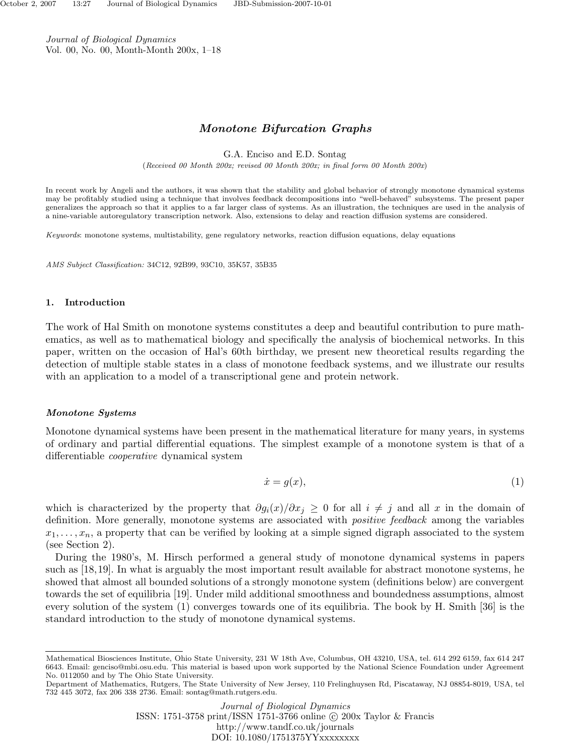Journal of Biological Dynamics Vol. 00, No. 00, Month-Month 200x, 1–18

# *Monotone Bifurcation Graphs*

G.A. Enciso and E.D. Sontag

(*Received 00 Month 200x; revised 00 Month 200x; in final form 00 Month 200x*)

In recent work by Angeli and the authors, it was shown that the stability and global behavior of strongly monotone dynamical systems may be profitably studied using a technique that involves feedback decompositions into "well-behaved" subsystems. The present paper generalizes the approach so that it applies to a far larger class of systems. As an illustration, the techniques are used in the analysis of a nine-variable autoregulatory transcription network. Also, extensions to delay and reaction diffusion systems are considered.

*Keywords*: monotone systems, multistability, gene regulatory networks, reaction diffusion equations, delay equations

*AMS Subject Classification:* 34C12, 92B99, 93C10, 35K57, 35B35

# **1. Introduction**

The work of Hal Smith on monotone systems constitutes a deep and beautiful contribution to pure mathematics, as well as to mathematical biology and specifically the analysis of biochemical networks. In this paper, written on the occasion of Hal's 60th birthday, we present new theoretical results regarding the detection of multiple stable states in a class of monotone feedback systems, and we illustrate our results with an application to a model of a transcriptional gene and protein network.

# *Monotone Systems*

Monotone dynamical systems have been present in the mathematical literature for many years, in systems of ordinary and partial differential equations. The simplest example of a monotone system is that of a differentiable cooperative dynamical system

$$
\dot{x} = g(x),\tag{1}
$$

which is characterized by the property that  $\partial g_i(x)/\partial x_j \geq 0$  for all  $i \neq j$  and all x in the domain of definition. More generally, monotone systems are associated with *positive feedback* among the variables  $x_1, \ldots, x_n$ , a property that can be verified by looking at a simple signed digraph associated to the system (see Section 2).

During the 1980's, M. Hirsch performed a general study of monotone dynamical systems in papers such as [18,19]. In what is arguably the most important result available for abstract monotone systems, he showed that almost all bounded solutions of a strongly monotone system (definitions below) are convergent towards the set of equilibria [19]. Under mild additional smoothness and boundedness assumptions, almost every solution of the system (1) converges towards one of its equilibria. The book by H. Smith [36] is the standard introduction to the study of monotone dynamical systems.

Mathematical Biosciences Institute, Ohio State University, 231 W 18th Ave, Columbus, OH 43210, USA, tel. 614 292 6159, fax 614 247 6643. Email: genciso@mbi.osu.edu. This material is based upon work supported by the National Science Foundation under Agreement No. 0112050 and by The Ohio State University.

Department of Mathematics, Rutgers, The State University of New Jersey, 110 Frelinghuysen Rd, Piscataway, NJ 08854-8019, USA, tel 732 445 3072, fax 206 338 2736. Email: sontag@math.rutgers.edu.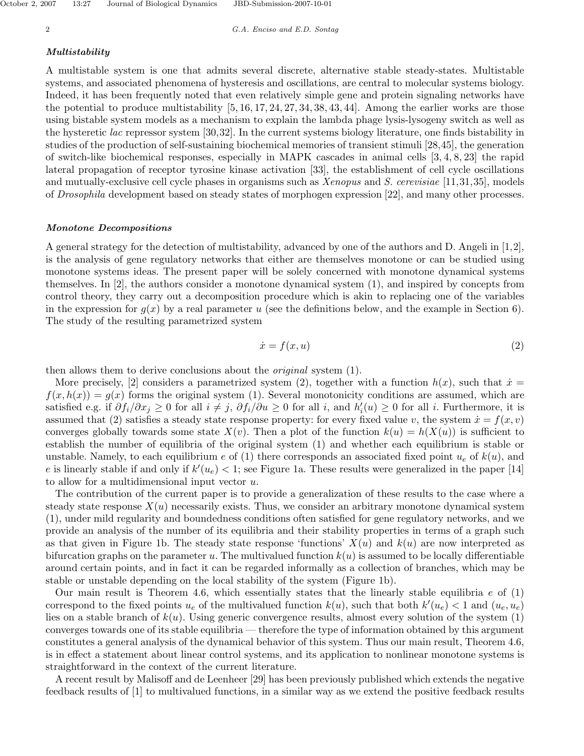#### *Multistability*

A multistable system is one that admits several discrete, alternative stable steady-states. Multistable systems, and associated phenomena of hysteresis and oscillations, are central to molecular systems biology. Indeed, it has been frequently noted that even relatively simple gene and protein signaling networks have the potential to produce multistability  $[5, 16, 17, 24, 27, 34, 38, 43, 44]$ . Among the earlier works are those using bistable system models as a mechanism to explain the lambda phage lysis-lysogeny switch as well as the hysteretic lac repressor system [30,32]. In the current systems biology literature, one finds bistability in studies of the production of self-sustaining biochemical memories of transient stimuli [28,45], the generation of switch-like biochemical responses, especially in MAPK cascades in animal cells [3, 4, 8, 23] the rapid lateral propagation of receptor tyrosine kinase activation [33], the establishment of cell cycle oscillations and mutually-exclusive cell cycle phases in organisms such as Xenopus and S. cerevisiae [11,31,35], models of Drosophila development based on steady states of morphogen expression [22], and many other processes.

#### *Monotone Decompositions*

A general strategy for the detection of multistability, advanced by one of the authors and D. Angeli in [1,2], is the analysis of gene regulatory networks that either are themselves monotone or can be studied using monotone systems ideas. The present paper will be solely concerned with monotone dynamical systems themselves. In [2], the authors consider a monotone dynamical system (1), and inspired by concepts from control theory, they carry out a decomposition procedure which is akin to replacing one of the variables in the expression for  $g(x)$  by a real parameter  $u$  (see the definitions below, and the example in Section 6). The study of the resulting parametrized system

$$
\dot{x} = f(x, u) \tag{2}
$$

then allows them to derive conclusions about the *original* system (1).

More precisely, [2] considers a parametrized system (2), together with a function  $h(x)$ , such that  $\dot{x} =$  $f(x, h(x)) = g(x)$  forms the original system (1). Several monotonicity conditions are assumed, which are satisfied e.g. if  $\partial f_i/\partial x_j \ge 0$  for all  $i \ne j$ ,  $\partial f_i/\partial u \ge 0$  for all *i*, and  $h'_i(u) \ge 0$  for all *i*. Furthermore, it is assumed that (2) satisfies a steady state response property: for every fixed value *v*, the system  $\dot{x} = f(x, v)$ converges globally towards some state  $X(v)$ . Then a plot of the function  $k(u) = h(X(u))$  is sufficient to establish the number of equilibria of the original system (1) and whether each equilibrium is stable or unstable. Namely, to each equilibrium  $e$  of (1) there corresponds an associated fixed point  $u_e$  of  $k(u)$ , and *e* is linearly stable if and only if  $k'(u_e) < 1$ ; see Figure 1a. These results were generalized in the paper [14] to allow for a multidimensional input vector *u*.

The contribution of the current paper is to provide a generalization of these results to the case where a steady state response  $X(u)$  necessarily exists. Thus, we consider an arbitrary monotone dynamical system (1), under mild regularity and boundedness conditions often satisfied for gene regulatory networks, and we provide an analysis of the number of its equilibria and their stability properties in terms of a graph such as that given in Figure 1b. The steady state response 'functions'  $X(u)$  and  $k(u)$  are now interpreted as bifurcation graphs on the parameter  $u$ . The multivalued function  $k(u)$  is assumed to be locally differentiable around certain points, and in fact it can be regarded informally as a collection of branches, which may be stable or unstable depending on the local stability of the system (Figure 1b).

Our main result is Theorem 4.6, which essentially states that the linearly stable equilibria *e* of (1) correspond to the fixed points  $u_e$  of the multivalued function  $k(u)$ , such that both  $k'(u_e) < 1$  and  $(u_e, u_e)$ lies on a stable branch of *k*(*u*). Using generic convergence results, almost every solution of the system (1) converges towards one of its stable equilibria — therefore the type of information obtained by this argument constitutes a general analysis of the dynamical behavior of this system. Thus our main result, Theorem 4.6, is in effect a statement about linear control systems, and its application to nonlinear monotone systems is straightforward in the context of the current literature.

A recent result by Malisoff and de Leenheer [29] has been previously published which extends the negative feedback results of [1] to multivalued functions, in a similar way as we extend the positive feedback results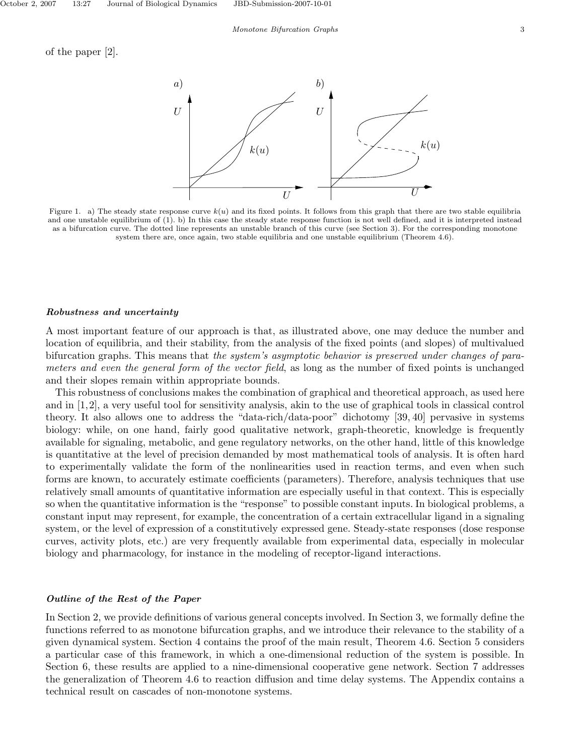

Figure 1. a) The steady state response curve  $k(u)$  and its fixed points. It follows from this graph that there are two stable equilibria and one unstable equilibrium of (1). b) In this case the steady state response function is not well defined, and it is interpreted instead as a bifurcation curve. The dotted line represents an unstable branch of this curve (see Section 3). For the corresponding monotone system there are, once again, two stable equilibria and one unstable equilibrium (Theorem 4.6).

# *Robustness and uncertainty*

A most important feature of our approach is that, as illustrated above, one may deduce the number and location of equilibria, and their stability, from the analysis of the fixed points (and slopes) of multivalued bifurcation graphs. This means that the system's asymptotic behavior is preserved under changes of parameters and even the general form of the vector field, as long as the number of fixed points is unchanged and their slopes remain within appropriate bounds.

This robustness of conclusions makes the combination of graphical and theoretical approach, as used here and in [1,2], a very useful tool for sensitivity analysis, akin to the use of graphical tools in classical control theory. It also allows one to address the "data-rich/data-poor" dichotomy [39, 40] pervasive in systems biology: while, on one hand, fairly good qualitative network, graph-theoretic, knowledge is frequently available for signaling, metabolic, and gene regulatory networks, on the other hand, little of this knowledge is quantitative at the level of precision demanded by most mathematical tools of analysis. It is often hard to experimentally validate the form of the nonlinearities used in reaction terms, and even when such forms are known, to accurately estimate coefficients (parameters). Therefore, analysis techniques that use relatively small amounts of quantitative information are especially useful in that context. This is especially so when the quantitative information is the "response" to possible constant inputs. In biological problems, a constant input may represent, for example, the concentration of a certain extracellular ligand in a signaling system, or the level of expression of a constitutively expressed gene. Steady-state responses (dose response curves, activity plots, etc.) are very frequently available from experimental data, especially in molecular biology and pharmacology, for instance in the modeling of receptor-ligand interactions.

# *Outline of the Rest of the Paper*

In Section 2, we provide definitions of various general concepts involved. In Section 3, we formally define the functions referred to as monotone bifurcation graphs, and we introduce their relevance to the stability of a given dynamical system. Section 4 contains the proof of the main result, Theorem 4.6. Section 5 considers a particular case of this framework, in which a one-dimensional reduction of the system is possible. In Section 6, these results are applied to a nine-dimensional cooperative gene network. Section 7 addresses the generalization of Theorem 4.6 to reaction diffusion and time delay systems. The Appendix contains a technical result on cascades of non-monotone systems.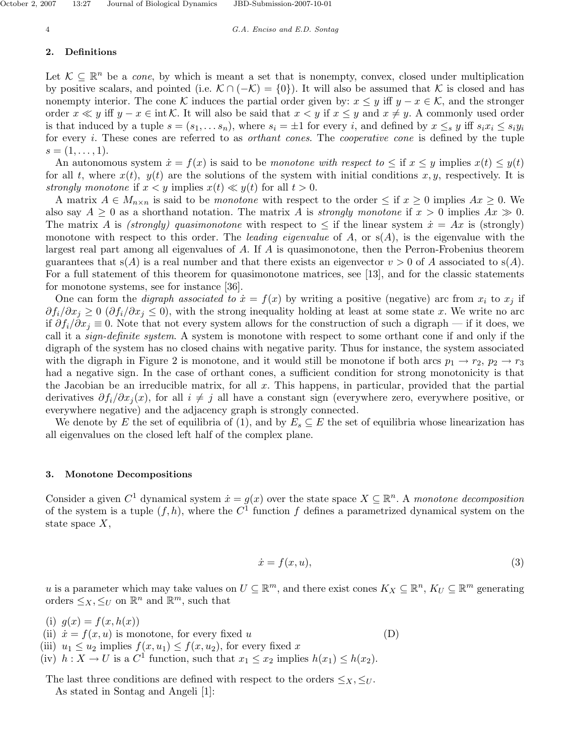#### **2. Definitions**

Let  $\mathcal{K} \subseteq \mathbb{R}^n$  be a *cone*, by which is meant a set that is nonempty, convex, closed under multiplication by positive scalars, and pointed (i.e.  $K \cap (-K) = \{0\}$ ). It will also be assumed that K is closed and has nonempty interior. The cone K induces the partial order given by:  $x \leq y$  iff  $y - x \in \mathcal{K}$ , and the stronger order  $x \ll y$  iff  $y - x \in \text{int }\mathcal{K}$ . It will also be said that  $x < y$  if  $x \leq y$  and  $x \neq y$ . A commonly used order is that induced by a tuple  $s = (s_1, \ldots s_n)$ , where  $s_i = \pm 1$  for every i, and defined by  $x \leq_s y$  iff  $s_i x_i \leq s_i y_i$ for every *i*. These cones are referred to as *orthant cones*. The *cooperative cone* is defined by the tuple  $s = (1, \ldots, 1).$ 

An autonomous system  $\dot{x} = f(x)$  is said to be monotone with respect to  $\leq$  if  $x \leq y$  implies  $x(t) \leq y(t)$ for all *t*, where  $x(t)$ ,  $y(t)$  are the solutions of the system with initial conditions  $x, y$ , respectively. It is strongly monotone if  $x < y$  implies  $x(t) \ll y(t)$  for all  $t > 0$ .

A matrix  $A \in M_{n \times n}$  is said to be monotone with respect to the order  $\leq$  if  $x \geq 0$  implies  $Ax \geq 0$ . We also say  $A \geq 0$  as a shorthand notation. The matrix A is *strongly monotone* if  $x > 0$  implies  $Ax \gg 0$ . The matrix *A* is (strongly) quasimonotone with respect to  $\leq$  if the linear system  $\dot{x} = Ax$  is (strongly) monotone with respect to this order. The *leading eigenvalue* of  $A$ , or  $s(A)$ , is the eigenvalue with the largest real part among all eigenvalues of *A*. If *A* is quasimonotone, then the Perron-Frobenius theorem guarantees that  $s(A)$  is a real number and that there exists an eigenvector  $v > 0$  of A associated to  $s(A)$ . For a full statement of this theorem for quasimonotone matrices, see [13], and for the classic statements for monotone systems, see for instance [36].

One can form the *digraph associated to*  $\dot{x} = f(x)$  by writing a positive (negative) arc from  $x_i$  to  $x_j$  if  $\partial f_i/\partial x_j \geq 0$  ( $\partial f_i/\partial x_j \leq 0$ ), with the strong inequality holding at least at some state *x*. We write no arc if  $\partial f_i/\partial x_j \equiv 0$ . Note that not every system allows for the construction of such a digraph — if it does, we call it a *sign-definite system*. A system is monotone with respect to some orthant cone if and only if the digraph of the system has no closed chains with negative parity. Thus for instance, the system associated with the digraph in Figure 2 is monotone, and it would still be monotone if both arcs  $p_1 \rightarrow r_2$ ,  $p_2 \rightarrow r_3$ had a negative sign. In the case of orthant cones, a sufficient condition for strong monotonicity is that the Jacobian be an irreducible matrix, for all *x*. This happens, in particular, provided that the partial derivatives  $\partial f_i/\partial x_j(x)$ , for all  $i \neq j$  all have a constant sign (everywhere zero, everywhere positive, or everywhere negative) and the adjacency graph is strongly connected.

We denote by *E* the set of equilibria of (1), and by  $E_s \subseteq E$  the set of equilibria whose linearization has all eigenvalues on the closed left half of the complex plane.

## **3. Monotone Decompositions**

Consider a given  $C^1$  dynamical system  $\dot{x} = g(x)$  over the state space  $X \subseteq \mathbb{R}^n$ . A monotone decomposition of the system is a tuple  $(f, h)$ , where the  $C^1$  function  $f$  defines a parametrized dynamical system on the state space *X*,

$$
\dot{x} = f(x, u),\tag{3}
$$

*u* is a parameter which may take values on  $U \subseteq \mathbb{R}^m$ , and there exist cones  $K_X \subseteq \mathbb{R}^n$ ,  $K_U \subseteq \mathbb{R}^m$  generating orders  $\leq_X, \leq_U$  on  $\mathbb{R}^n$  and  $\mathbb{R}^m$ , such that

- (i)  $q(x) = f(x, h(x))$ (ii)  $\dot{x} = f(x, u)$  is monotone, for every fixed *u* (D)
- (iii)  $u_1 \leq u_2$  implies  $f(x, u_1) \leq f(x, u_2)$ , for every fixed x
- (iv)  $h: X \to U$  is a  $C^1$  function, such that  $x_1 \leq x_2$  implies  $h(x_1) \leq h(x_2)$ .

The last three conditions are defined with respect to the orders  $\leq_X, \leq_U$ .

As stated in Sontag and Angeli [1]: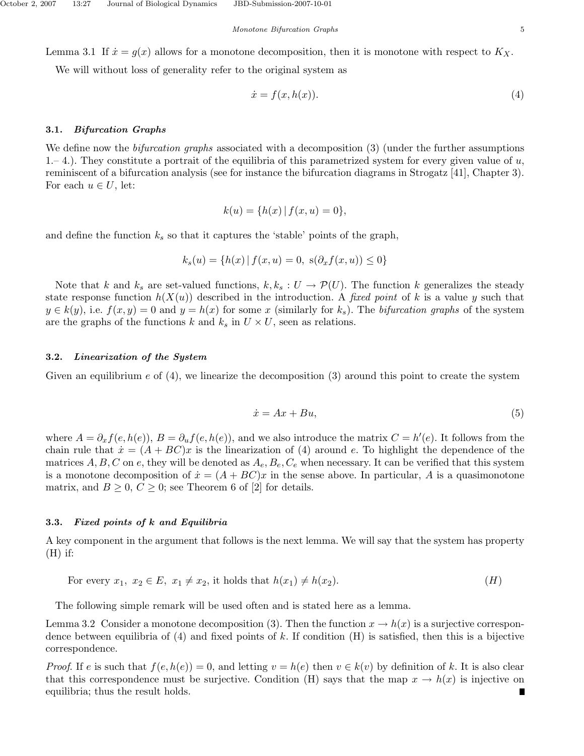Lemma 3.1 If  $\dot{x} = g(x)$  allows for a monotone decomposition, then it is monotone with respect to  $K_X$ .

We will without loss of generality refer to the original system as

$$
\dot{x} = f(x, h(x)).\tag{4}
$$

## **3.1.** *Bifurcation Graphs*

We define now the *bifurcation graphs* associated with a decomposition (3) (under the further assumptions 1.– 4.). They constitute a portrait of the equilibria of this parametrized system for every given value of *u*, reminiscent of a bifurcation analysis (see for instance the bifurcation diagrams in Strogatz [41], Chapter 3). For each  $u \in U$ , let:

$$
k(u) = \{h(x) | f(x, u) = 0\},\
$$

and define the function  $k_s$  so that it captures the 'stable' points of the graph,

$$
k_s(u) = \{ h(x) | f(x, u) = 0, s(\partial_x f(x, u)) \le 0 \}
$$

Note that *k* and  $k_s$  are set-valued functions,  $k, k_s : U \to \mathcal{P}(U)$ . The function *k* generalizes the steady state response function  $h(X(u))$  described in the introduction. A fixed point of k is a value y such that  $y \in k(y)$ , i.e.  $f(x, y) = 0$  and  $y = h(x)$  for some *x* (similarly for  $k_s$ ). The bifurcation graphs of the system are the graphs of the functions  $k$  and  $k_s$  in  $U \times U$ , seen as relations.

### **3.2.** *Linearization of the System*

Given an equilibrium *e* of (4), we linearize the decomposition (3) around this point to create the system

$$
\dot{x} = Ax + Bu,\tag{5}
$$

where  $A = \partial_x f(e, h(e))$ ,  $B = \partial_u f(e, h(e))$ , and we also introduce the matrix  $C = h'(e)$ . It follows from the chain rule that  $\dot{x} = (A + BC)x$  is the linearization of (4) around *e*. To highlight the dependence of the matrices  $A, B, C$  on  $e$ , they will be denoted as  $A_e, B_e, C_e$  when necessary. It can be verified that this system is a monotone decomposition of  $\dot{x} = (A + BC)x$  in the sense above. In particular, A is a quasimonotone matrix, and  $B \geq 0$ ,  $C \geq 0$ ; see Theorem 6 of [2] for details.

# **3.3.** *Fixed points of k and Equilibria*

A key component in the argument that follows is the next lemma. We will say that the system has property  $(H)$  if:

For every 
$$
x_1, x_2 \in E
$$
,  $x_1 \neq x_2$ , it holds that  $h(x_1) \neq h(x_2)$ . 
$$
(H)
$$

The following simple remark will be used often and is stated here as a lemma.

Lemma 3.2 Consider a monotone decomposition (3). Then the function  $x \to h(x)$  is a surjective correspondence between equilibria of (4) and fixed points of *k*. If condition (H) is satisfied, then this is a bijective correspondence.

*Proof.* If *e* is such that  $f(e, h(e)) = 0$ , and letting  $v = h(e)$  then  $v \in k(v)$  by definition of *k*. It is also clear that this correspondence must be surjective. Condition (H) says that the map  $x \to h(x)$  is injective on equilibria; thus the result holds.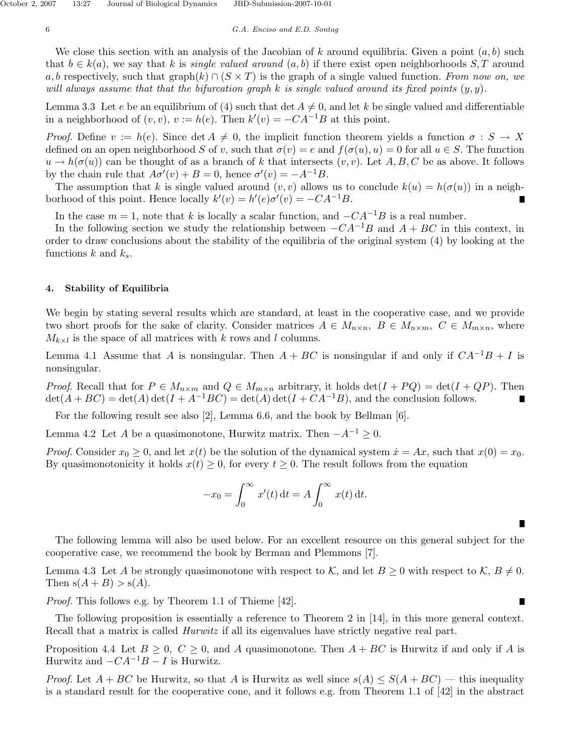We close this section with an analysis of the Jacobian of *k* around equilibria. Given a point (*a, b*) such that  $b \in k(a)$ , we say that *k* is *single valued around*  $(a, b)$  if there exist open neighborhoods *S*, *T* around *a, b* respectively, such that graph $(k) \cap (S \times T)$  is the graph of a single valued function. From now on, we will always assume that that the bifurcation graph *k* is single valued around its fixed points (*y, y*).

Lemma 3.3 Let *e* be an equilibrium of (4) such that det  $A \neq 0$ , and let *k* be single valued and differentiable in a neighborhood of  $(v, v)$ ,  $v := h(e)$ . Then  $k'(v) = -CA^{-1}B$  at this point.

*Proof.* Define  $v := h(e)$ . Since  $\det A \neq 0$ , the implicit function theorem yields a function  $\sigma : S \to X$ defined on an open neighborhood *S* of *v*, such that  $\sigma(v) = e$  and  $f(\sigma(u), u) = 0$  for all  $u \in S$ . The function  $u \to h(\sigma(u))$  can be thought of as a branch of *k* that intersects  $(v, v)$ . Let *A, B, C* be as above. It follows by the chain rule that  $A\sigma'(v) + B = 0$ , hence  $\sigma'(v) = -A^{-1}B$ .

The assumption that k is single valued around  $(v, v)$  allows us to conclude  $k(u) = h(\sigma(u))$  in a neighborhood of this point. Hence locally  $k'(v) = h'(e)\sigma'(v) = -CA^{-1}B$ .

In the case  $m = 1$ , note that *k* is locally a scalar function, and  $-C A^{-1}B$  is a real number.

In the following section we study the relationship between  $-C A^{-1}B$  and  $A + BC$  in this context, in order to draw conclusions about the stability of the equilibria of the original system (4) by looking at the functions *k* and *ks*.

# **4. Stability of Equilibria**

We begin by stating several results which are standard, at least in the cooperative case, and we provide two short proofs for the sake of clarity. Consider matrices  $A \in M_{n \times n}$ ,  $B \in M_{n \times m}$ ,  $C \in M_{m \times n}$ , where  $M_{k \times l}$  is the space of all matrices with *k* rows and *l* columns.

Lemma 4.1 Assume that *A* is nonsingular. Then  $A + BC$  is nonsingular if and only if  $CA^{-1}B + I$  is nonsingular.

*Proof.* Recall that for  $P \in M_{n \times m}$  and  $Q \in M_{m \times n}$  arbitrary, it holds  $\det(I + PQ) = \det(I + QP)$ . Then  $\det(A + BC) = \det(A) \det(I + A^{-1}BC) = \det(A) \det(I + CA^{-1}B)$ , and the conclusion follows.

For the following result see also [2], Lemma 6.6, and the book by Bellman [6].

Lemma 4.2 Let *A* be a quasimonotone, Hurwitz matrix. Then  $-A^{-1} ≥ 0$ .

*Proof.* Consider  $x_0 \geq 0$ , and let  $x(t)$  be the solution of the dynamical system  $\dot{x} = Ax$ , such that  $x(0) = x_0$ . By quasimonotonicity it holds  $x(t) \geq 0$ , for every  $t \geq 0$ . The result follows from the equation

$$
-x_0 = \int_0^\infty x'(t) dt = A \int_0^\infty x(t) dt.
$$

П

The following lemma will also be used below. For an excellent resource on this general subject for the cooperative case, we recommend the book by Berman and Plemmons [7].

Lemma 4.3 Let *A* be strongly quasimonotone with respect to K, and let  $B \ge 0$  with respect to K,  $B \ne 0$ . Then  $s(A + B) > s(A)$ .

Proof. This follows e.g. by Theorem 1.1 of Thieme [42].

The following proposition is essentially a reference to Theorem 2 in [14], in this more general context. Recall that a matrix is called *Hurwitz* if all its eigenvalues have strictly negative real part.

Proposition 4.4 Let  $B \geq 0$ ,  $C \geq 0$ , and *A* quasimonotone. Then  $A + BC$  is Hurwitz if and only if *A* is Hurwitz and  $-C A^{-1}B - I$  is Hurwitz.

*Proof.* Let  $A + BC$  be Hurwitz, so that A is Hurwitz as well since  $s(A) \leq S(A + BC)$  — this inequality is a standard result for the cooperative cone, and it follows e.g. from Theorem 1.1 of [42] in the abstract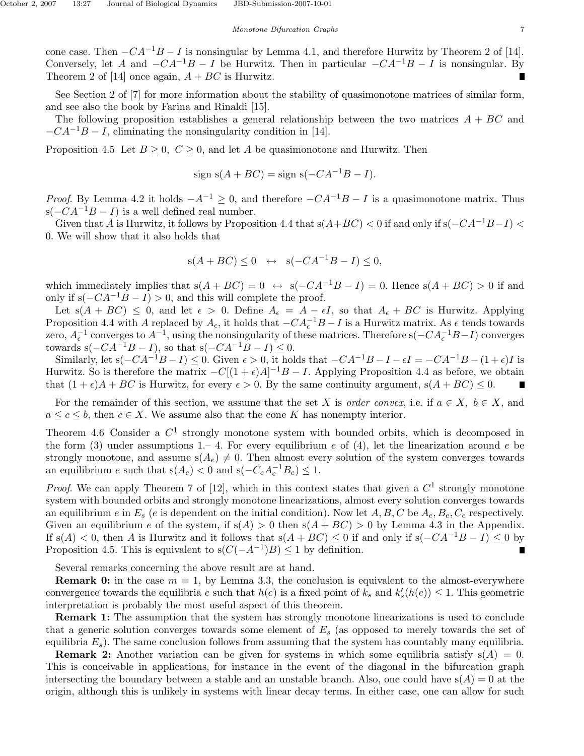cone case. Then  $-CA^{-1}B-I$  is nonsingular by Lemma 4.1, and therefore Hurwitz by Theorem 2 of [14]. Conversely, let *A* and  $-CA^{-1}B - I$  be Hurwitz. Then in particular  $-CA^{-1}B - I$  is nonsingular. By Theorem 2 of [14] once again,  $A + BC$  is Hurwitz.

See Section 2 of [7] for more information about the stability of quasimonotone matrices of similar form, and see also the book by Farina and Rinaldi [15].

The following proposition establishes a general relationship between the two matrices *A* + *BC* and  $-CA^{-1}B-I$ , eliminating the nonsingularity condition in [14].

Proposition 4.5 Let  $B \geq 0$ ,  $C \geq 0$ , and let *A* be quasimonotone and Hurwitz. Then

$$
sign s(A + BC) = sign s(-CA^{-1}B - I).
$$

*Proof.* By Lemma 4.2 it holds  $-A^{-1} \geq 0$ , and therefore  $-CA^{-1}B - I$  is a quasimonotone matrix. Thus s( $-CA^{-1}B - I$ ) is a well defined real number.

Given that *A* is Hurwitz, it follows by Proposition 4.4 that  $s(A+BC) < 0$  if and only if  $s(-CA^{-1}B-I) <$ 0. We will show that it also holds that

$$
s(A + BC) \le 0 \iff s(-CA^{-1}B - I) \le 0,
$$

which immediately implies that  $s(A + BC) = 0 \leftrightarrow s(-CA^{-1}B - I) = 0$ . Hence  $s(A + BC) > 0$  if and only if  $s(-CA^{-1}B - I) > 0$ , and this will complete the proof.

Let  $s(A + BC) \leq 0$ , and let  $\epsilon > 0$ . Define  $A_{\epsilon} = A - \epsilon I$ , so that  $A_{\epsilon} + BC$  is Hurwitz. Applying Proposition 4.4 with *A* replaced by  $A_{\epsilon}$ , it holds that  $-CA_{\epsilon}^{-1}B-I$  is a Hurwitz matrix. As  $\epsilon$  tends towards zero,  $A_{\epsilon}^{-1}$  converges to  $A^{-1}$ , using the nonsingularity of these matrices. Therefore s( $-CA_{\epsilon}^{-1}B-I$ ) converges towards  $s(-CA^{-1}B - I)$ , so that  $s(-CA^{-1}B - I) \leq 0$ .

Similarly, let  $s(-CA^{-1}B - I) \le 0$ . Given  $\epsilon > 0$ , it holds that  $-CA^{-1}B - I - \epsilon I = -CA^{-1}B - (1+\epsilon)I$  is Hurwitz. So is therefore the matrix  $-C[(1+\epsilon)A]^{-1}B - I$ . Applying Proposition 4.4 as before, we obtain that  $(1 + \epsilon)A + BC$  is Hurwitz, for every  $\epsilon > 0$ . By the same continuity argument,  $s(A + BC) \leq 0$ .

For the remainder of this section, we assume that the set *X* is order convex, i.e. if  $a \in X$ ,  $b \in X$ , and  $a \leq c \leq b$ , then  $c \in X$ . We assume also that the cone *K* has nonempty interior.

Theorem 4.6 Consider a *C*<sup>1</sup> strongly monotone system with bounded orbits, which is decomposed in the form (3) under assumptions 1.– 4. For every equilibrium *e* of (4), let the linearization around *e* be strongly monotone, and assume  $s(A_e) \neq 0$ . Then almost every solution of the system converges towards an equilibrium *e* such that  $s(A_e) < 0$  and  $s(-C_eA_e^{-1}B_e) \leq 1$ .

Proof. We can apply Theorem 7 of [12], which in this context states that given a *C*<sup>1</sup> strongly monotone system with bounded orbits and strongly monotone linearizations, almost every solution converges towards an equilibrium *e* in  $E_s$  (*e* is dependent on the initial condition). Now let  $A, B, C$  be  $A_e, B_e, C_e$  respectively. Given an equilibrium *e* of the system, if  $s(A) > 0$  then  $s(A + BC) > 0$  by Lemma 4.3 in the Appendix. If  $s(A) < 0$ , then *A* is Hurwitz and it follows that  $s(A + BC) \le 0$  if and only if  $s(-CA^{-1}B - I) \le 0$  by Proposition 4.5. This is equivalent to  $s(C(-A^{-1})B) \leq 1$  by definition.

Several remarks concerning the above result are at hand.

**Remark 0:** in the case  $m = 1$ , by Lemma 3.3, the conclusion is equivalent to the almost-everywhere convergence towards the equilibria *e* such that  $h(e)$  is a fixed point of  $k_s$  and  $k'_s(h(e)) \leq 1$ . This geometric interpretation is probably the most useful aspect of this theorem.

**Remark 1:** The assumption that the system has strongly monotone linearizations is used to conclude that a generic solution converges towards some element of *E<sup>s</sup>* (as opposed to merely towards the set of equilibria  $E_s$ ). The same conclusion follows from assuming that the system has countably many equilibria.

**Remark 2:** Another variation can be given for systems in which some equilibria satisfy  $s(A) = 0$ . This is conceivable in applications, for instance in the event of the diagonal in the bifurcation graph intersecting the boundary between a stable and an unstable branch. Also, one could have  $s(A) = 0$  at the origin, although this is unlikely in systems with linear decay terms. In either case, one can allow for such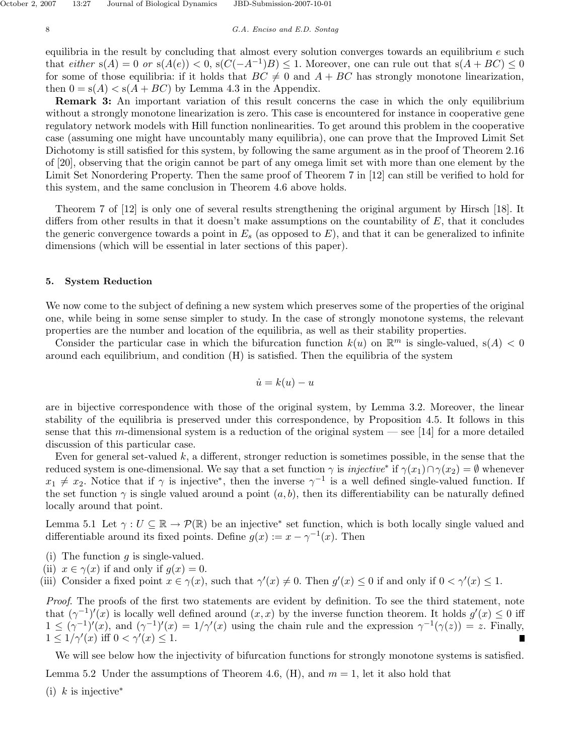equilibria in the result by concluding that almost every solution converges towards an equilibrium *e* such that either  $s(A) = 0$  or  $s(A(e)) < 0$ ,  $s(C(-A^{-1})B) \leq 1$ . Moreover, one can rule out that  $s(A + BC) \leq 0$ for some of those equilibria: if it holds that  $BC \neq 0$  and  $A + BC$  has strongly monotone linearization, then  $0 = s(A) < s(A + BC)$  by Lemma 4.3 in the Appendix.

**Remark 3:** An important variation of this result concerns the case in which the only equilibrium without a strongly monotone linearization is zero. This case is encountered for instance in cooperative gene regulatory network models with Hill function nonlinearities. To get around this problem in the cooperative case (assuming one might have uncountably many equilibria), one can prove that the Improved Limit Set Dichotomy is still satisfied for this system, by following the same argument as in the proof of Theorem 2.16 of [20], observing that the origin cannot be part of any omega limit set with more than one element by the Limit Set Nonordering Property. Then the same proof of Theorem 7 in [12] can still be verified to hold for this system, and the same conclusion in Theorem 4.6 above holds.

Theorem 7 of [12] is only one of several results strengthening the original argument by Hirsch [18]. It differs from other results in that it doesn't make assumptions on the countability of *E*, that it concludes the generic convergence towards a point in  $E<sub>s</sub>$  (as opposed to  $E$ ), and that it can be generalized to infinite dimensions (which will be essential in later sections of this paper).

## **5. System Reduction**

We now come to the subject of defining a new system which preserves some of the properties of the original one, while being in some sense simpler to study. In the case of strongly monotone systems, the relevant properties are the number and location of the equilibria, as well as their stability properties.

Consider the particular case in which the bifurcation function  $k(u)$  on  $\mathbb{R}^m$  is single-valued,  $s(A) < 0$ around each equilibrium, and condition (H) is satisfied. Then the equilibria of the system

$$
\dot{u} = k(u) - u
$$

are in bijective correspondence with those of the original system, by Lemma 3.2. Moreover, the linear stability of the equilibria is preserved under this correspondence, by Proposition 4.5. It follows in this sense that this *m*-dimensional system is a reduction of the original system — see [14] for a more detailed discussion of this particular case.

Even for general set-valued *k*, a different, stronger reduction is sometimes possible, in the sense that the reduced system is one-dimensional. We say that a set function  $\gamma$  is *injective*<sup>\*</sup> if  $\gamma(x_1) \cap \gamma(x_2) = \emptyset$  whenever  $x_1 \neq x_2$ . Notice that if *γ* is injective<sup>\*</sup>, then the inverse  $\gamma^{-1}$  is a well defined single-valued function. If the set function  $\gamma$  is single valued around a point  $(a, b)$ , then its differentiability can be naturally defined locally around that point.

Lemma 5.1 Let  $\gamma : U \subseteq \mathbb{R} \to \mathcal{P}(\mathbb{R})$  be an injective<sup>\*</sup> set function, which is both locally single valued and differentiable around its fixed points. Define  $g(x) := x - \gamma^{-1}(x)$ . Then

- (i) The function *g* is single-valued.
- (ii)  $x \in \gamma(x)$  if and only if  $q(x) = 0$ .

(iii) Consider a fixed point  $x \in \gamma(x)$ , such that  $\gamma'(x) \neq 0$ . Then  $g'(x) \leq 0$  if and only if  $0 < \gamma'(x) \leq 1$ .

Proof. The proofs of the first two statements are evident by definition. To see the third statement, note that  $(\gamma^{-1})'(x)$  is locally well defined around  $(x, x)$  by the inverse function theorem. It holds  $g'(x) \leq 0$  iff  $1 \leq (\gamma^{-1})'(x)$ , and  $(\gamma^{-1})'(x) = 1/\gamma'(x)$  using the chain rule and the expression  $\gamma^{-1}(\gamma(z)) = z$ . Finally,  $1 \leq 1/\gamma'(x) \text{ iff } 0 < \gamma'(x) \leq 1.$ 

We will see below how the injectivity of bifurcation functions for strongly monotone systems is satisfied. Lemma 5.2 Under the assumptions of Theorem 4.6,  $(H)$ , and  $m = 1$ , let it also hold that (i) *k* is injective<sup>∗</sup>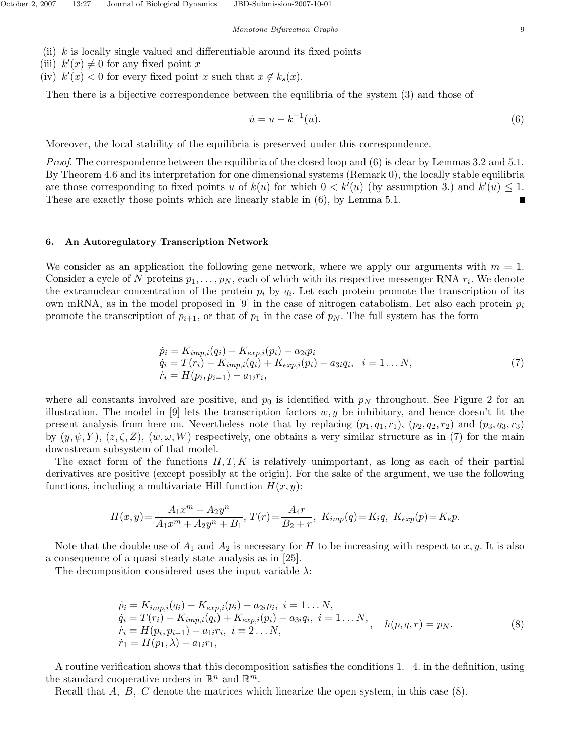- (ii) *k* is locally single valued and differentiable around its fixed points
- (iii)  $k'(x) \neq 0$  for any fixed point *x*
- (iv)  $k'(x) < 0$  for every fixed point *x* such that  $x \notin k_s(x)$ .

Then there is a bijective correspondence between the equilibria of the system (3) and those of

$$
\dot{u} = u - k^{-1}(u). \tag{6}
$$

Moreover, the local stability of the equilibria is preserved under this correspondence.

*Proof.* The correspondence between the equilibria of the closed loop and  $(6)$  is clear by Lemmas 3.2 and 5.1. By Theorem 4.6 and its interpretation for one dimensional systems (Remark 0), the locally stable equilibria are those corresponding to fixed points *u* of  $k(u)$  for which  $0 < k'(u)$  (by assumption 3.) and  $k'(u) \leq 1$ . These are exactly those points which are linearly stable in (6), by Lemma 5.1.

#### **6. An Autoregulatory Transcription Network**

We consider as an application the following gene network, where we apply our arguments with  $m = 1$ . Consider a cycle of *N* proteins  $p_1, \ldots, p_N$ , each of which with its respective messenger RNA  $r_i$ . We denote the extranuclear concentration of the protein  $p_i$  by  $q_i$ . Let each protein promote the transcription of its own mRNA, as in the model proposed in [9] in the case of nitrogen catabolism. Let also each protein  $p_i$ promote the transcription of  $p_{i+1}$ , or that of  $p_1$  in the case of  $p_N$ . The full system has the form

$$
\begin{aligned}\n\dot{p}_i &= K_{imp,i}(q_i) - K_{exp,i}(p_i) - a_{2i}p_i \\
\dot{q}_i &= T(r_i) - K_{imp,i}(q_i) + K_{exp,i}(p_i) - a_{3i}q_i, \quad i = 1 \dots N, \\
\dot{r}_i &= H(p_i, p_{i-1}) - a_{1i}r_i,\n\end{aligned} \tag{7}
$$

where all constants involved are positive, and  $p_0$  is identified with  $p_N$  throughout. See Figure 2 for an illustration. The model in  $[9]$  lets the transcription factors  $w, y$  be inhibitory, and hence doesn't fit the present analysis from here on. Nevertheless note that by replacing  $(p_1, q_1, r_1)$ ,  $(p_2, q_2, r_2)$  and  $(p_3, q_3, r_3)$ by  $(y, \psi, Y)$ ,  $(z, \zeta, Z)$ ,  $(w, \omega, W)$  respectively, one obtains a very similar structure as in (7) for the main downstream subsystem of that model.

The exact form of the functions *H, T, K* is relatively unimportant, as long as each of their partial derivatives are positive (except possibly at the origin). For the sake of the argument, we use the following functions, including a multivariate Hill function *H*(*x, y*):

$$
H(x,y) = \frac{A_1 x^m + A_2 y^n}{A_1 x^m + A_2 y^n + B_1}, \ T(r) = \frac{A_4 r}{B_2 + r}, \ K_{imp}(q) = K_i q, \ K_{exp}(p) = K_e p.
$$

Note that the double use of  $A_1$  and  $A_2$  is necessary for *H* to be increasing with respect to *x*, *y*. It is also a consequence of a quasi steady state analysis as in [25].

The decomposition considered uses the input variable *λ*:

$$
\begin{aligned}\n\dot{p}_i &= K_{imp,i}(q_i) - K_{exp,i}(p_i) - a_{2i}p_i, \ i = 1 \dots N, \\
\dot{q}_i &= T(r_i) - K_{imp,i}(q_i) + K_{exp,i}(p_i) - a_{3i}q_i, \ i = 1 \dots N, \\
\dot{r}_i &= H(p_i, p_{i-1}) - a_{1i}r_i, \ i = 2 \dots N, \\
\dot{r}_1 &= H(p_1, \lambda) - a_{1i}r_1,\n\end{aligned}\n\tag{8}
$$

A routine verification shows that this decomposition satisfies the conditions 1.– 4. in the definition, using the standard cooperative orders in  $\mathbb{R}^n$  and  $\mathbb{R}^m$ .

Recall that *A, B, C* denote the matrices which linearize the open system, in this case (8).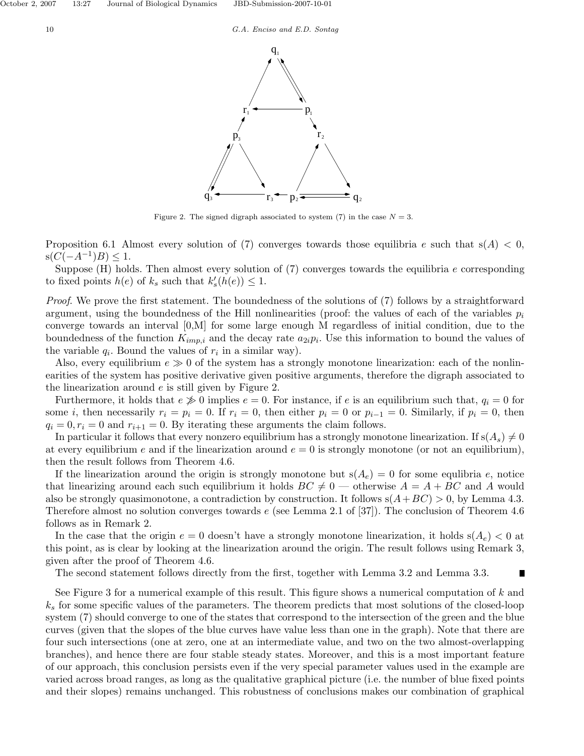



Figure 2. The signed digraph associated to system  $(7)$  in the case  $N = 3$ .

Proposition 6.1 Almost every solution of (7) converges towards those equilibria *e* such that  $s(A) < 0$ ,  $s(C(-A^{-1})B)$  ≤ 1.

Suppose (H) holds. Then almost every solution of (7) converges towards the equilibria *e* corresponding to fixed points  $h(e)$  of  $k_s$  such that  $k'_s(h(e)) \leq 1$ .

Proof. We prove the first statement. The boundedness of the solutions of (7) follows by a straightforward argument, using the boundedness of the Hill nonlinearities (proof: the values of each of the variables  $p_i$ converge towards an interval [0,M] for some large enough M regardless of initial condition, due to the boundedness of the function  $K_{imp,i}$  and the decay rate  $a_{2i}p_i$ . Use this information to bound the values of the variable  $q_i$ . Bound the values of  $r_i$  in a similar way).

Also, every equilibrium  $e \gg 0$  of the system has a strongly monotone linearization: each of the nonlinearities of the system has positive derivative given positive arguments, therefore the digraph associated to the linearization around *e* is still given by Figure 2.

Furthermore, it holds that  $e \gg 0$  implies  $e = 0$ . For instance, if *e* is an equilibrium such that,  $q_i = 0$  for some *i*, then necessarily  $r_i = p_i = 0$ . If  $r_i = 0$ , then either  $p_i = 0$  or  $p_{i-1} = 0$ . Similarly, if  $p_i = 0$ , then  $q_i = 0, r_i = 0$  and  $r_{i+1} = 0$ . By iterating these arguments the claim follows.

In particular it follows that every nonzero equilibrium has a strongly monotone linearization. If  $s(A_s) \neq 0$ at every equilibrium *e* and if the linearization around  $e = 0$  is strongly monotone (or not an equilibrium), then the result follows from Theorem 4.6.

If the linearization around the origin is strongly monotone but  $s(A_e) = 0$  for some equlibria *e*, notice that linearizing around each such equilibrium it holds  $BC \neq 0$  — otherwise  $A = A + BC$  and A would also be strongly quasimonotone, a contradiction by construction. It follows  $s(A+BC) > 0$ , by Lemma 4.3. Therefore almost no solution converges towards *e* (see Lemma 2.1 of [37]). The conclusion of Theorem 4.6 follows as in Remark 2.

In the case that the origin  $e = 0$  doesn't have a strongly monotone linearization, it holds  $s(A_e) < 0$  at this point, as is clear by looking at the linearization around the origin. The result follows using Remark 3, given after the proof of Theorem 4.6.

The second statement follows directly from the first, together with Lemma 3.2 and Lemma 3.3.

Π

See Figure 3 for a numerical example of this result. This figure shows a numerical computation of *k* and *k<sup>s</sup>* for some specific values of the parameters. The theorem predicts that most solutions of the closed-loop system (7) should converge to one of the states that correspond to the intersection of the green and the blue curves (given that the slopes of the blue curves have value less than one in the graph). Note that there are four such intersections (one at zero, one at an intermediate value, and two on the two almost-overlapping branches), and hence there are four stable steady states. Moreover, and this is a most important feature of our approach, this conclusion persists even if the very special parameter values used in the example are varied across broad ranges, as long as the qualitative graphical picture (i.e. the number of blue fixed points and their slopes) remains unchanged. This robustness of conclusions makes our combination of graphical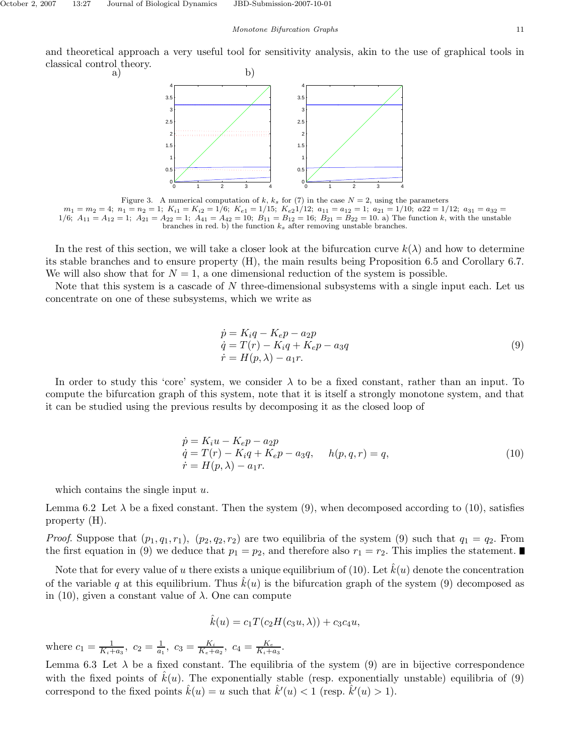and theoretical approach a very useful tool for sensitivity analysis, akin to the use of graphical tools in classical control theory.<br>
a) b)



Figure 3. A numerical computation of  $k$ ,  $k_s$  for (7) in the case  $N = 2$ , using the parameters  $m_1 = m_2 = 4$ ;  $n_1 = n_2 = 1$ ;  $K_{i1} = K_{i2} = 1/6$ ;  $K_{e1} = 1/15$ ;  $K_{e2} = 1/12$ ;  $a_{11} = a_{12} = 1$ ;  $a_{21} = 1/10$ ;  $a_{22} = 1/12$ ;  $a_{31} = a_{32} = 1/12$  $1/6$ ;  $A_{11} = A_{12} = 1$ ;  $A_{21} = A_{22} = 1$ ;  $A_{41} = A_{42} = 10$ ;  $B_{11} = B_{12} = 16$ ;  $B_{21} = B_{22} = 10$ . a) The function *k*, with the unstable branches in red. b) the function  $k_s$  after removing unstable branches.

In the rest of this section, we will take a closer look at the bifurcation curve  $k(\lambda)$  and how to determine its stable branches and to ensure property (H), the main results being Proposition 6.5 and Corollary 6.7. We will also show that for  $N = 1$ , a one dimensional reduction of the system is possible.

Note that this system is a cascade of *N* three-dimensional subsystems with a single input each. Let us concentrate on one of these subsystems, which we write as

$$
\begin{aligned}\n\dot{p} &= K_i q - K_e p - a_2 p \\
\dot{q} &= T(r) - K_i q + K_e p - a_3 q \\
\dot{r} &= H(p, \lambda) - a_1 r.\n\end{aligned} \tag{9}
$$

In order to study this 'core' system, we consider  $\lambda$  to be a fixed constant, rather than an input. To compute the bifurcation graph of this system, note that it is itself a strongly monotone system, and that it can be studied using the previous results by decomposing it as the closed loop of

$$
\begin{aligned}\n\dot{p} &= K_i u - K_e p - a_2 p \\
\dot{q} &= T(r) - K_i q + K_e p - a_3 q, \quad h(p, q, r) = q, \\
\dot{r} &= H(p, \lambda) - a_1 r.\n\end{aligned} \tag{10}
$$

which contains the single input *u*.

Lemma 6.2 Let  $\lambda$  be a fixed constant. Then the system (9), when decomposed according to (10), satisfies property (H).

*Proof.* Suppose that  $(p_1, q_1, r_1)$ ,  $(p_2, q_2, r_2)$  are two equilibria of the system (9) such that  $q_1 = q_2$ . From the first equation in (9) we deduce that  $p_1 = p_2$ , and therefore also  $r_1 = r_2$ . This implies the statement.

Note that for every value of *u* there exists a unique equilibrium of (10). Let  $\hat{k}(u)$  denote the concentration of the variable q at this equilibrium. Thus  $\hat{k}(u)$  is the bifurcation graph of the system (9) decomposed as in (10), given a constant value of  $\lambda$ . One can compute

$$
\hat{k}(u) = c_1 T(c_2 H(c_3 u, \lambda)) + c_3 c_4 u,
$$

where  $c_1 = \frac{1}{K_i + a_3}$ ,  $c_2 = \frac{1}{a_1}$ ,  $c_3 = \frac{K_i}{K_e + a_2}$ ,  $c_4 = \frac{K_e}{K_i + a_3}$ .

Lemma 6.3 Let  $\lambda$  be a fixed constant. The equilibria of the system (9) are in bijective correspondence with the fixed points of  $\hat{k}(u)$ . The exponentially stable (resp. exponentially unstable) equilibria of (9) correspond to the fixed points  $\hat{k}(u) = u$  such that  $\hat{k}'(u) < 1$  (resp.  $\hat{k}'(u) > 1$ ).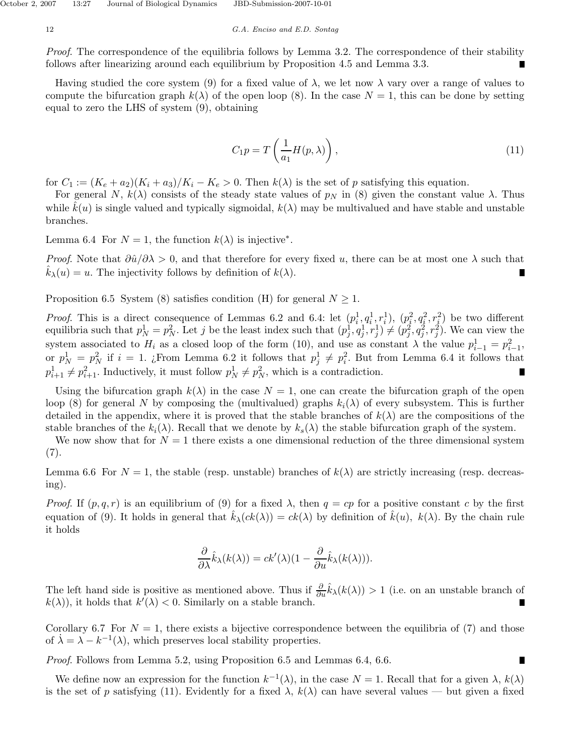Proof. The correspondence of the equilibria follows by Lemma 3.2. The correspondence of their stability follows after linearizing around each equilibrium by Proposition 4.5 and Lemma 3.3.

Having studied the core system (9) for a fixed value of  $\lambda$ , we let now  $\lambda$  vary over a range of values to compute the bifurcation graph  $k(\lambda)$  of the open loop (8). In the case  $N=1$ , this can be done by setting equal to zero the LHS of system (9), obtaining

$$
C_1 p = T\left(\frac{1}{a_1}H(p,\lambda)\right),\tag{11}
$$

for  $C_1 := (K_e + a_2)(K_i + a_3)/K_i - K_e > 0$ . Then  $k(\lambda)$  is the set of p satisfying this equation.

For general *N*,  $k(\lambda)$  consists of the steady state values of  $p_N$  in (8) given the constant value  $\lambda$ . Thus while  $\hat{k}(u)$  is single valued and typically sigmoidal,  $k(\lambda)$  may be multivalued and have stable and unstable branches.

Lemma 6.4 For  $N = 1$ , the function  $k(\lambda)$  is injective<sup>\*</sup>.

*Proof.* Note that  $\frac{\partial \hat{u}}{\partial \lambda} > 0$ , and that therefore for every fixed *u*, there can be at most one  $\lambda$  such that  $\hat{k}_{\lambda}(u) = u$ . The injectivity follows by definition of  $k(\lambda)$ .

Proposition 6.5 System (8) satisfies condition (H) for general  $N \geq 1$ .

*Proof.* This is a direct consequence of Lemmas 6.2 and 6.4: let  $(p_i^1, q_i^1, r_i^1), (p_i^2, q_i^2, r_i^2)$  be two different equilibria such that  $p_N^1 = p_N^2$ . Let j be the least index such that  $(p_j^1, q_j^1, r_j^1) \neq (p_j^2, q_j^2, r_j^2)$ . We can view the system associated to  $H_i$  as a closed loop of the form (10), and use as constant  $\lambda$  the value  $p_{i-1}^1 = p_{i-1}^2$ , or  $p_N^1 = p_N^2$  if  $i = 1$ . ¿From Lemma 6.2 it follows that  $p_j^1 \neq p_i^2$ . But from Lemma 6.4 it follows that  $p_{i+1}^1 \neq p_{i+1}^2$ . Inductively, it must follow  $p_N^1 \neq p_N^2$ , which is a contradiction.

Using the bifurcation graph  $k(\lambda)$  in the case  $N = 1$ , one can create the bifurcation graph of the open loop (8) for general *N* by composing the (multivalued) graphs  $k_i(\lambda)$  of every subsystem. This is further detailed in the appendix, where it is proved that the stable branches of  $k(\lambda)$  are the compositions of the stable branches of the  $k_i(\lambda)$ . Recall that we denote by  $k_s(\lambda)$  the stable bifurcation graph of the system.

We now show that for  $N=1$  there exists a one dimensional reduction of the three dimensional system (7).

Lemma 6.6 For  $N = 1$ , the stable (resp. unstable) branches of  $k(\lambda)$  are strictly increasing (resp. decreasing).

*Proof.* If  $(p, q, r)$  is an equilibrium of (9) for a fixed  $\lambda$ , then  $q = cp$  for a positive constant *c* by the first equation of (9). It holds in general that  $\hat{k}_{\lambda}(ck(\lambda)) = ck(\lambda)$  by definition of  $\hat{k}(u)$ *,*  $k(\lambda)$ . By the chain rule it holds

$$
\frac{\partial}{\partial \lambda} \hat{k}_{\lambda}(k(\lambda)) = ck'(\lambda)(1 - \frac{\partial}{\partial u} \hat{k}_{\lambda}(k(\lambda))).
$$

The left hand side is positive as mentioned above. Thus if  $\frac{\partial}{\partial u} \hat{k}_\lambda(k(\lambda)) > 1$  (i.e. on an unstable branch of  $k(\lambda)$ , it holds that  $k'(\lambda) < 0$ . Similarly on a stable branch. П

Corollary 6.7 For  $N = 1$ , there exists a bijective correspondence between the equilibria of (7) and those of  $\dot{\lambda} = \lambda - k^{-1}(\lambda)$ , which preserves local stability properties.

n

Proof. Follows from Lemma 5.2, using Proposition 6.5 and Lemmas 6.4, 6.6.

We define now an expression for the function  $k^{-1}(\lambda)$ , in the case  $N = 1$ . Recall that for a given  $\lambda$ ,  $k(\lambda)$ is the set of *p* satisfying (11). Evidently for a fixed  $\lambda$ ,  $k(\lambda)$  can have several values — but given a fixed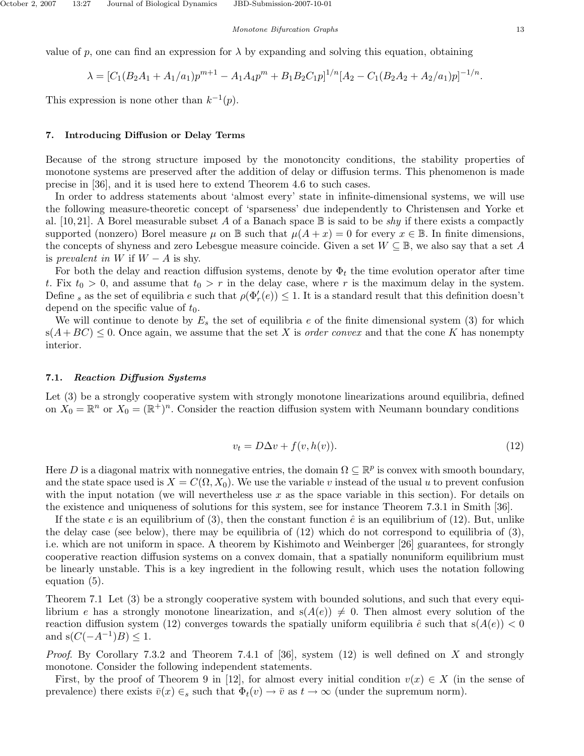value of *p*, one can find an expression for  $\lambda$  by expanding and solving this equation, obtaining

$$
\lambda = [C_1(B_2A_1 + A_1/a_1)p^{m+1} - A_1A_4p^m + B_1B_2C_1p]^{1/n}[A_2 - C_1(B_2A_2 + A_2/a_1)p]^{-1/n}.
$$

This expression is none other than  $k^{-1}(p)$ .

#### **7. Introducing Diffusion or Delay Terms**

Because of the strong structure imposed by the monotoncity conditions, the stability properties of monotone systems are preserved after the addition of delay or diffusion terms. This phenomenon is made precise in [36], and it is used here to extend Theorem 4.6 to such cases.

In order to address statements about 'almost every' state in infinite-dimensional systems, we will use the following measure-theoretic concept of 'sparseness' due independently to Christensen and Yorke et al. [10,21]. A Borel measurable subset A of a Banach space  $\mathbb B$  is said to be *shy* if there exists a compactly supported (nonzero) Borel measure  $\mu$  on  $\mathbb B$  such that  $\mu(A+x) = 0$  for every  $x \in \mathbb B$ . In finite dimensions, the concepts of shyness and zero Lebesgue measure coincide. Given a set *W* ⊆ B, we also say that a set *A* is prevalent in *W* if  $W - A$  is shy.

For both the delay and reaction diffusion systems, denote by  $\Phi_t$  the time evolution operator after time *t*. Fix  $t_0 > 0$ , and assume that  $t_0 > r$  in the delay case, where *r* is the maximum delay in the system. Define *s* as the set of equilibria *e* such that  $\rho(\Phi'_r(e)) \leq 1$ . It is a standard result that this definition doesn't depend on the specific value of *t*0.

We will continue to denote by  $E<sub>s</sub>$  the set of equilibria  $e$  of the finite dimensional system (3) for which  $s(A + BC) \leq 0$ . Once again, we assume that the set X is order convex and that the cone K has nonempty interior.

## **7.1.** *Reaction Diffusion Systems*

Let (3) be a strongly cooperative system with strongly monotone linearizations around equilibria, defined on  $X_0 = \mathbb{R}^n$  or  $X_0 = (\mathbb{R}^+)^n$ . Consider the reaction diffusion system with Neumann boundary conditions

$$
v_t = D\Delta v + f(v, h(v)).
$$
\n<sup>(12)</sup>

Here *D* is a diagonal matrix with nonnegative entries, the domain  $\Omega \subseteq \mathbb{R}^p$  is convex with smooth boundary, and the state space used is  $X = C(\Omega, X_0)$ . We use the variable *v* instead of the usual *u* to prevent confusion with the input notation (we will nevertheless use x as the space variable in this section). For details on the existence and uniqueness of solutions for this system, see for instance Theorem 7.3.1 in Smith [36].

If the state *e* is an equilibrium of (3), then the constant function  $\hat{e}$  is an equilibrium of (12). But, unlike the delay case (see below), there may be equilibria of (12) which do not correspond to equilibria of (3), i.e. which are not uniform in space. A theorem by Kishimoto and Weinberger [26] guarantees, for strongly cooperative reaction diffusion systems on a convex domain, that a spatially nonuniform equilibrium must be linearly unstable. This is a key ingredient in the following result, which uses the notation following equation (5).

Theorem 7.1 Let (3) be a strongly cooperative system with bounded solutions, and such that every equilibrium *e* has a strongly monotone linearization, and  $s(A(e)) \neq 0$ . Then almost every solution of the reaction diffusion system (12) converges towards the spatially uniform equilibria  $\hat{e}$  such that  $s(A(e)) < 0$ and  $s(C(-A^{-1})B) \leq 1$ .

Proof. By Corollary 7.3.2 and Theorem 7.4.1 of [36], system (12) is well defined on *X* and strongly monotone. Consider the following independent statements.

First, by the proof of Theorem 9 in [12], for almost every initial condition  $v(x) \in X$  (in the sense of prevalence) there exists  $\bar{v}(x) \in_s$  such that  $\Phi_t(v) \to \bar{v}$  as  $t \to \infty$  (under the supremum norm).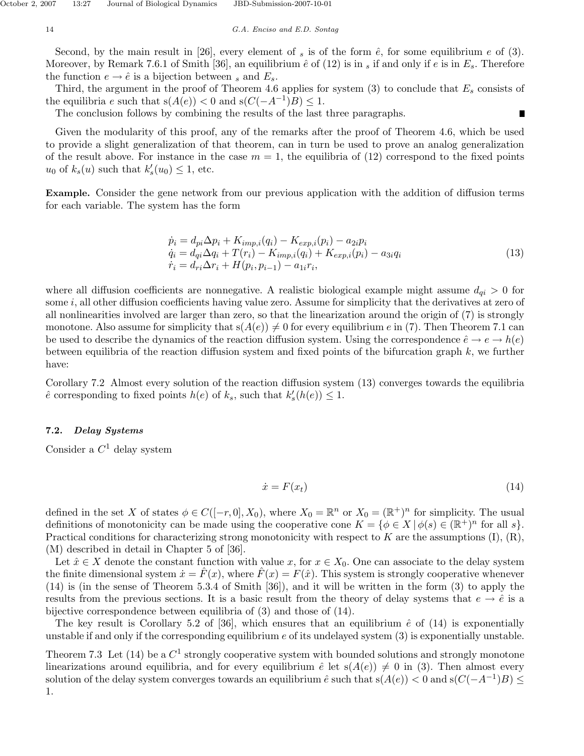Second, by the main result in [26], every element of  $_s$  is of the form  $\hat{e}$ , for some equilibrium  $e$  of (3). Moreover, by Remark 7.6.1 of Smith [36], an equilibrium  $\hat{e}$  of (12) is in  $_s$  if and only if  $e$  is in  $E_s$ . Therefore the function  $e \rightarrow \hat{e}$  is a bijection between *s* and  $E_s$ .

Third, the argument in the proof of Theorem 4.6 applies for system (3) to conclude that *E<sup>s</sup>* consists of the equilibria *e* such that  $s(A(e)) < 0$  and  $s(C(-A^{-1})B) \leq 1$ .

The conclusion follows by combining the results of the last three paragraphs.

Given the modularity of this proof, any of the remarks after the proof of Theorem 4.6, which be used to provide a slight generalization of that theorem, can in turn be used to prove an analog generalization of the result above. For instance in the case  $m = 1$ , the equilibria of (12) correspond to the fixed points  $u_0$  of  $k_s(u)$  such that  $k'_s(u_0) \leq 1$ , etc.

**Example.** Consider the gene network from our previous application with the addition of diffusion terms for each variable. The system has the form

$$
\begin{aligned}\n\dot{p}_i &= d_{pi} \Delta p_i + K_{imp,i}(q_i) - K_{exp,i}(p_i) - a_{2i} p_i \\
\dot{q}_i &= d_{qi} \Delta q_i + T(r_i) - K_{imp,i}(q_i) + K_{exp,i}(p_i) - a_{3i} q_i \\
\dot{r}_i &= d_{ri} \Delta r_i + H(p_i, p_{i-1}) - a_{1i} r_i,\n\end{aligned} \tag{13}
$$

Π

where all diffusion coefficients are nonnegative. A realistic biological example might assume  $d_{qi} > 0$  for some *i*, all other diffusion coefficients having value zero. Assume for simplicity that the derivatives at zero of all nonlinearities involved are larger than zero, so that the linearization around the origin of (7) is strongly monotone. Also assume for simplicity that  $s(A(e)) \neq 0$  for every equilibrium *e* in (7). Then Theorem 7.1 can be used to describe the dynamics of the reaction diffusion system. Using the correspondence  $\hat{e} \to e \to h(e)$ between equilibria of the reaction diffusion system and fixed points of the bifurcation graph *k*, we further have:

Corollary 7.2 Almost every solution of the reaction diffusion system (13) converges towards the equilibria  $\hat{e}$  corresponding to fixed points  $h(e)$  of  $k_s$ , such that  $k'_s(h(e)) \leq 1$ .

# **7.2.** *Delay Systems*

Consider a *C*<sup>1</sup> delay system

$$
\dot{x} = F(x_t) \tag{14}
$$

defined in the set *X* of states  $\phi \in C([-r, 0], X_0)$ , where  $X_0 = \mathbb{R}^n$  or  $X_0 = (\mathbb{R}^+)^n$  for simplicity. The usual definitions of monotonicity can be made using the cooperative cone  $K = \{ \phi \in X \mid \phi(s) \in (\mathbb{R}^+)^n \text{ for all } s \}.$ Practical conditions for characterizing strong monotonicity with respect to *K* are the assumptions (I), (R), (M) described in detail in Chapter 5 of [36].

Let  $\hat{x} \in X$  denote the constant function with value *x*, for  $x \in X_0$ . One can associate to the delay system the finite dimensional system  $\dot{x} = \dot{F}(x)$ , where  $\dot{F}(x) = F(\hat{x})$ . This system is strongly cooperative whenever (14) is (in the sense of Theorem 5.3.4 of Smith [36]), and it will be written in the form (3) to apply the results from the previous sections. It is a basic result from the theory of delay systems that  $e \to \hat{e}$  is a bijective correspondence between equilibria of (3) and those of (14).

The key result is Corollary 5.2 of [36], which ensures that an equilibrium  $\hat{e}$  of (14) is exponentially unstable if and only if the corresponding equilibrium *e* of its undelayed system (3) is exponentially unstable.

Theorem 7.3 Let  $(14)$  be a  $C<sup>1</sup>$  strongly cooperative system with bounded solutions and strongly monotone linearizations around equilibria, and for every equilibrium  $\hat{e}$  let  $s(A(e)) \neq 0$  in (3). Then almost every solution of the delay system converges towards an equilibrium  $\hat{e}$  such that  $s(A(e)) < 0$  and  $s(C(-A^{-1})B) \le$ 1.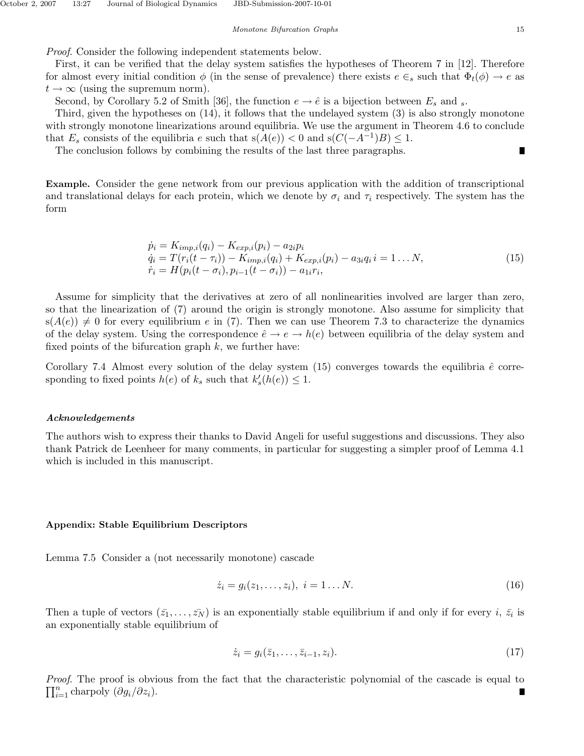Proof. Consider the following independent statements below.

First, it can be verified that the delay system satisfies the hypotheses of Theorem 7 in [12]. Therefore for almost every initial condition  $\phi$  (in the sense of prevalence) there exists  $e \in_s$  such that  $\Phi_t(\phi) \to e$  as  $t \to \infty$  (using the supremum norm).

Second, by Corollary 5.2 of Smith [36], the function  $e \rightarrow \hat{e}$  is a bijection between  $E_s$  and  $s$ .

Third, given the hypotheses on (14), it follows that the undelayed system (3) is also strongly monotone with strongly monotone linearizations around equilibria. We use the argument in Theorem 4.6 to conclude that  $E_s$  consists of the equilibria *e* such that  $s(A(e)) < 0$  and  $s(C(-A^{-1})B) \leq 1$ .

The conclusion follows by combining the results of the last three paragraphs.

**Example.** Consider the gene network from our previous application with the addition of transcriptional and translational delays for each protein, which we denote by  $\sigma_i$  and  $\tau_i$  respectively. The system has the form

$$
\dot{p}_i = K_{imp,i}(q_i) - K_{exp,i}(p_i) - a_{2i}p_i \n\dot{q}_i = T(r_i(t - \tau_i)) - K_{imp,i}(q_i) + K_{exp,i}(p_i) - a_{3i}q_i i = 1 \dots N, \n\dot{r}_i = H(p_i(t - \sigma_i), p_{i-1}(t - \sigma_i)) - a_{1i}r_i,
$$
\n(15)

Assume for simplicity that the derivatives at zero of all nonlinearities involved are larger than zero, so that the linearization of (7) around the origin is strongly monotone. Also assume for simplicity that  $s(A(e)) \neq 0$  for every equilibrium *e* in (7). Then we can use Theorem 7.3 to characterize the dynamics of the delay system. Using the correspondence  $\hat{e} \to e \to h(e)$  between equilibria of the delay system and fixed points of the bifurcation graph *k*, we further have:

Corollary 7.4 Almost every solution of the delay system  $(15)$  converges towards the equilibria  $\hat{e}$  corresponding to fixed points  $h(e)$  of  $k_s$  such that  $k'_s(h(e)) \leq 1$ .

#### *Acknowledgements*

The authors wish to express their thanks to David Angeli for useful suggestions and discussions. They also thank Patrick de Leenheer for many comments, in particular for suggesting a simpler proof of Lemma 4.1 which is included in this manuscript.

#### **Appendix: Stable Equilibrium Descriptors**

Lemma 7.5 Consider a (not necessarily monotone) cascade

$$
\dot{z}_i = g_i(z_1, \dots, z_i), \ i = 1 \dots N. \tag{16}
$$

Then a tuple of vectors  $(\bar{z}_1, \ldots, \bar{z}_N)$  is an exponentially stable equilibrium if and only if for every *i*,  $\bar{z}_i$  is an exponentially stable equilibrium of

$$
\dot{z}_i = g_i(\bar{z}_1, \dots, \bar{z}_{i-1}, z_i). \tag{17}
$$

*Proof.* The proof is obvious from the fact that the characteristic polynomial of the cascade is equal to  $\Pi^n$  characteristic polynomial of the cascade is equal to  $\prod_{i=1}^{n}$  charpoly  $(\partial g_i/\partial z_i)$ .

Π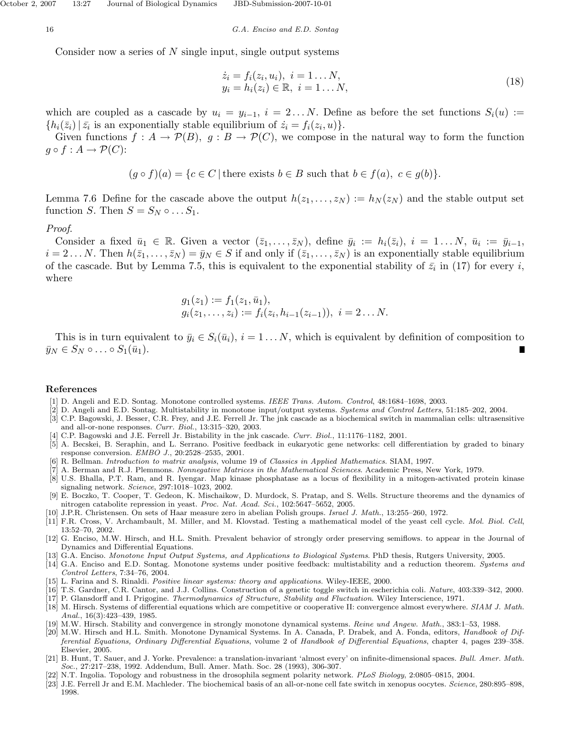Consider now a series of *N* single input, single output systems

$$
\begin{aligned} \dot{z}_i &= f_i(z_i, u_i), \ i = 1 \dots N, \\ y_i &= h_i(z_i) \in \mathbb{R}, \ i = 1 \dots N, \end{aligned} \tag{18}
$$

which are coupled as a cascade by  $u_i = y_{i-1}$ ,  $i = 2...N$ . Define as before the set functions  $S_i(u) :=$  $\{h_i(\bar{z}_i) | \bar{z}_i \text{ is an exponentially stable equilibrium of } \dot{z}_i = f_i(z_i, u)\}.$ 

Given functions  $f: A \to \mathcal{P}(B)$ ,  $g: B \to \mathcal{P}(C)$ , we compose in the natural way to form the function  $g \circ f : A \to \mathcal{P}(C)$ :

 $(g \circ f)(a) = \{c \in C \mid \text{there exists } b \in B \text{ such that } b \in f(a), c \in g(b)\}.$ 

Lemma 7.6 Define for the cascade above the output  $h(z_1, \ldots, z_N) := h_N(z_N)$  and the stable output set function *S*. Then  $S = S_N \circ \dots S_1$ .

#### Proof.

Consider a fixed  $\bar{u}_1 \in \mathbb{R}$ . Given a vector  $(\bar{z}_1,\ldots,\bar{z}_N)$ , define  $\bar{y}_i := h_i(\bar{z}_i), i = 1 \ldots N$ ,  $\bar{u}_i := \bar{y}_{i-1}$ ,  $i = 2...N$ . Then  $h(\bar{z}_1, \ldots, \bar{z}_N) = \bar{y}_N \in S$  if and only if  $(\bar{z}_1, \ldots, \bar{z}_N)$  is an exponentially stable equilibrium of the cascade. But by Lemma 7.5, this is equivalent to the exponential stability of  $\bar{z}_i$  in (17) for every *i*, where

$$
g_1(z_1) := f_1(z_1, \bar{u}_1),
$$
  
\n $g_i(z_1,..., z_i) := f_i(z_i, h_{i-1}(z_{i-1})), i = 2...N.$ 

This is in turn equivalent to  $\bar{y}_i \in S_i(\bar{u}_i)$ ,  $i = 1...N$ , which is equivalent by definition of composition to  $\bar{y}_N \in S_N \circ \ldots \circ S_1(\bar{u}_1).$ 

#### **References**

- [1] D. Angeli and E.D. Sontag. Monotone controlled systems. *IEEE Trans. Autom. Control*, 48:1684–1698, 2003.
- [2] D. Angeli and E.D. Sontag. Multistability in monotone input/output systems. *Systems and Control Letters*, 51:185–202, 2004.
- [3] C.P. Bagowski, J. Besser, C.R. Frey, and J.E. Ferrell Jr. The jnk cascade as a biochemical switch in mammalian cells: ultrasensitive and all-or-none responses. *Curr. Biol.*, 13:315–320, 2003.
- [4] C.P. Bagowski and J.E. Ferrell Jr. Bistability in the jnk cascade. *Curr. Biol.*, 11:1176–1182, 2001.
- [5] A. Becskei, B. Seraphin, and L. Serrano. Positive feedback in eukaryotic gene networks: cell differentiation by graded to binary response conversion. *EMBO J.*, 20:2528–2535, 2001.
- [6] R. Bellman. *Introduction to matrix analysis*, volume 19 of *Classics in Applied Mathematics*. SIAM, 1997.
- [7] A. Berman and R.J. Plemmons. *Nonnegative Matrices in the Mathematical Sciences*. Academic Press, New York, 1979. [8] U.S. Bhalla, P.T. Ram, and R. Iyengar. Map kinase phosphatase as a locus of flexibility in a mitogen-activated protein kinase signaling network. *Science*, 297:1018–1023, 2002.
- [9] E. Boczko, T. Cooper, T. Gedeon, K. Mischaikow, D. Murdock, S. Pratap, and S. Wells. Structure theorems and the dynamics of nitrogen catabolite repression in yeast. *Proc. Nat. Acad. Sci.*, 102:5647–5652, 2005.
- [10] J.P.R. Christensen. On sets of Haar measure zero in abelian Polish groups. *Israel J. Math.*, 13:255–260, 1972.
- [11] F.R. Cross, V. Archambault, M. Miller, and M. Klovstad. Testing a mathematical model of the yeast cell cycle. *Mol. Biol. Cell*, 13:52–70, 2002.
- [12] G. Enciso, M.W. Hirsch, and H.L. Smith. Prevalent behavior of strongly order preserving semiflows. to appear in the Journal of Dynamics and Differential Equations.
- [13] G.A. Enciso. *Monotone Input Output Systems, and Applications to Biological Systems*. PhD thesis, Rutgers University, 2005.
- [14] G.A. Enciso and E.D. Sontag. Monotone systems under positive feedback: multistability and a reduction theorem. *Systems and Control Letters*, 7:34–76, 2004.
- [15] L. Farina and S. Rinaldi. *Positive linear systems: theory and applications*. Wiley-IEEE, 2000.
- [16] T.S. Gardner, C.R. Cantor, and J.J. Collins. Construction of a genetic toggle switch in escherichia coli. *Nature*, 403:339–342, 2000.
- [17] P. Glansdorff and I. Prigogine. *Thermodynamics of Structure, Stability and Fluctuation*. Wiley Interscience, 1971.
- [18] M. Hirsch. Systems of differential equations which are competitive or cooperative II: convergence almost everywhere. *SIAM J. Math. Anal.*, 16(3):423–439, 1985.
- [19] M.W. Hirsch. Stability and convergence in strongly monotone dynamical systems. *Reine und Angew. Math.*, 383:1–53, 1988.
- [20] M.W. Hirsch and H.L. Smith. Monotone Dynamical Systems. In A. Canada, P. Drabek, and A. Fonda, editors, *Handbook of Differential Equations, Ordinary Differential Equations*, volume 2 of *Handbook of Differential Equations*, chapter 4, pages 239–358. Elsevier, 2005.
- [21] B. Hunt, T. Sauer, and J. Yorke. Prevalence: a translation-invariant 'almost every' on infinite-dimensional spaces. *Bull. Amer. Math. Soc.*, 27:217–238, 1992. Addendum, Bull. Amer. Math. Soc. 28 (1993), 306-307.
- [22] N.T. Ingolia. Topology and robustness in the drosophila segment polarity network. *PLoS Biology*, 2:0805–0815, 2004.
- [23] J.E. Ferrell Jr and E.M. Machleder. The biochemical basis of an all-or-none cell fate switch in xenopus oocytes. *Science*, 280:895–898, 1998.